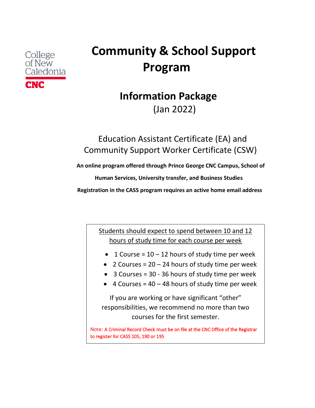# **CNC**

## **College Community & School Support** of New<br>Caledonia **Program**

## **Information Package** (Jan 2022)

### Education Assistant Certificate (EA) and Community Support Worker Certificate (CSW)

 **An online program offered through Prince George CNC Campus, School of** 

 **Human Services, University transfer, and Business Studies**

 **Registration in the CASS program requires an active home email address**

Students should expect to spend between 10 and 12 hours of study time for each course per week

- 1 Course =  $10 12$  hours of study time per week
- 2 Courses =  $20 24$  hours of study time per week
- 3 Courses = 30 36 hours of study time per week
- $\bullet$  4 Courses = 40 48 hours of study time per week

If you are working or have significant "other" responsibilities, we recommend no more than two courses for the first semester.

Note: A Criminal Record Check must be on file at the CNC Office of the Registrar to register for CASS 105, 190 or 195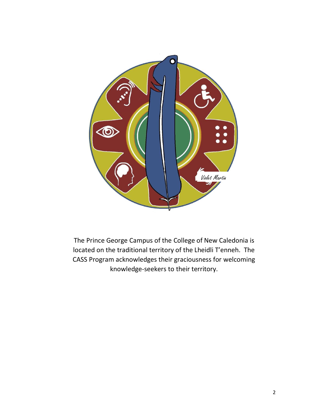

The Prince George Campus of the College of New Caledonia is located on the traditional territory of the Lheidli T'enneh. The CASS Program acknowledges their graciousness for welcoming knowledge-seekers to their territory.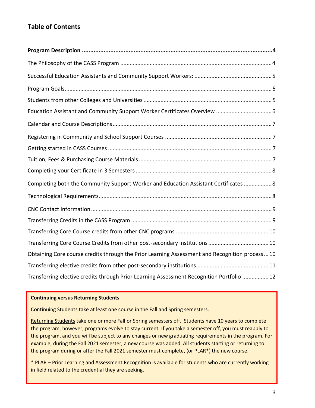#### **Table of Contents**

| Completing both the Community Support Worker and Education Assistant Certificates  8          |
|-----------------------------------------------------------------------------------------------|
|                                                                                               |
|                                                                                               |
|                                                                                               |
|                                                                                               |
|                                                                                               |
| Obtaining Core course credits through the Prior Learning Assessment and Recognition process10 |
|                                                                                               |
| Transferring elective credits through Prior Learning Assessment Recognition Portfolio  12     |

#### **Continuing versus Returning Students**

l

Continuing Students take at least one course in the Fall and Spring semesters.

Returning Students take one or more Fall or Spring semesters off. Students have 10 years to complete the program, however, programs evolve to stay current. If you take a semester off, you must reapply to the program, and you will be subject to any changes or new graduating requirements in the program. For example, during the Fall 2021 semester, a new course was added. All students starting or returning to the program during or after the Fall 2021 semester must complete, (or PLAR\*) the new course.

\* PLAR – Prior Learning and Assessment Recognition is available for students who are currently working in field related to the credential they are seeking.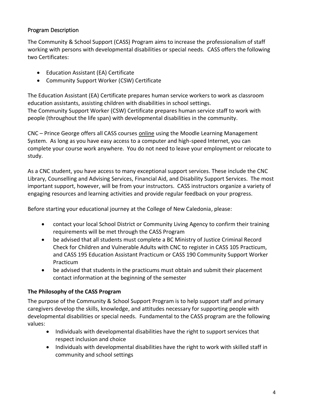#### <span id="page-3-0"></span>Program Description

The Community & School Support (CASS) Program aims to increase the professionalism of staff working with persons with developmental disabilities or special needs. CASS offers the following two Certificates:

- Education Assistant (EA) Certificate
- Community Support Worker (CSW) Certificate

The Education Assistant (EA) Certificate prepares human service workers to work as classroom education assistants, assisting children with disabilities in school settings. The Community Support Worker (CSW) Certificate prepares human service staff to work with people (throughout the life span) with developmental disabilities in the community.

CNC – Prince George offers all CASS courses online using the Moodle Learning Management System. As long as you have easy access to a computer and high-speed Internet, you can complete your course work anywhere. You do not need to leave your employment or relocate to study.

As a CNC student, you have access to many exceptional support services. These include the CNC Library, Counselling and Advising Services, Financial Aid, and Disability Support Services. The most important support, however, will be from your instructors. CASS instructors organize a variety of engaging resources and learning activities and provide regular feedback on your progress.

Before starting your educational journey at the College of New Caledonia, please:

- contact your local School District or Community Living Agency to confirm their training requirements will be met through the CASS Program
- be advised that all students must complete a BC Ministry of Justice Criminal Record Check for Children and Vulnerable Adults with CNC to register in CASS 105 Practicum, and CASS 195 Education Assistant Practicum or CASS 190 Community Support Worker Practicum
- be advised that students in the practicums must obtain and submit their placement contact information at the beginning of the semester

#### <span id="page-3-1"></span>**The Philosophy of the CASS Program**

The purpose of the Community & School Support Program is to help support staff and primary caregivers develop the skills, knowledge, and attitudes necessary for supporting people with developmental disabilities or special needs. Fundamental to the CASS program are the following values:

- Individuals with developmental disabilities have the right to support services that respect inclusion and choice
- Individuals with developmental disabilities have the right to work with skilled staff in community and school settings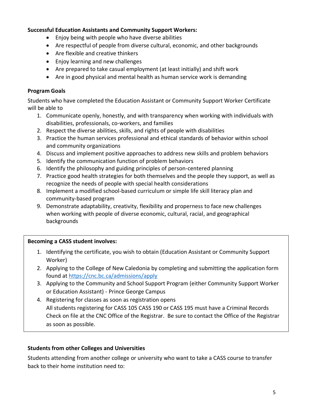#### <span id="page-4-0"></span>**Successful Education Assistants and Community Support Workers:**

- Enjoy being with people who have diverse abilities
- Are respectful of people from diverse cultural, economic, and other backgrounds
- Are flexible and creative thinkers
- Enjoy learning and new challenges
- Are prepared to take casual employment (at least initially) and shift work
- Are in good physical and mental health as human service work is demanding

#### <span id="page-4-1"></span>**Program Goals**

Students who have completed the Education Assistant or Community Support Worker Certificate will be able to

- 1. Communicate openly, honestly, and with transparency when working with individuals with disabilities, professionals, co-workers, and families
- 2. Respect the diverse abilities, skills, and rights of people with disabilities
- 3. Practice the human services professional and ethical standards of behavior within school and community organizations
- 4. Discuss and implement positive approaches to address new skills and problem behaviors
- 5. Identify the communication function of problem behaviors
- 6. Identify the philosophy and guiding principles of person-centered planning
- 7. Practice good health strategies for both themselves and the people they support, as well as recognize the needs of people with special health considerations
- 8. Implement a modified school-based curriculum or simple life skill literacy plan and community-based program
- 9. Demonstrate adaptability, creativity, flexibility and properness to face new challenges when working with people of diverse economic, cultural, racial, and geographical backgrounds

#### **Becoming a CASS student involves:**

- 1. Identifying the certificate, you wish to obtain (Education Assistant or Community Support Worker)
- 2. Applying to the College of New Caledonia by completing and submitting the application form found at<https://cnc.bc.ca/admissions/apply>
- 3. Applying to the Community and School Support Program (either Community Support Worker or Education Assistant) - Prince George Campus
- 4. Registering for classes as soon as registration opens All students registering for CASS 105 CASS 190 or CASS 195 must have a Criminal Records Check on file at the CNC Office of the Registrar. Be sure to contact the Office of the Registrar as soon as possible.

#### <span id="page-4-2"></span>**Students from other Colleges and Universities**

Students attending from another college or university who want to take a CASS course to transfer back to their home institution need to: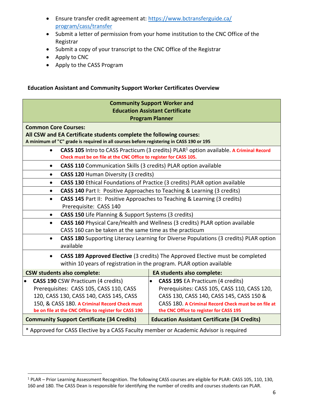- Ensure transfer credit agreement at: [https://www.bctransferguide.ca/](https://www.bctransferguide.ca/%20program/cass/transfer)  [program/cass/transfer](https://www.bctransferguide.ca/%20program/cass/transfer)
- Submit a letter of permission from your home institution to the CNC Office of the Registrar
- Submit a copy of your transcript to the CNC Office of the Registrar
- Apply to CNC
- Apply to the CASS Program

#### <span id="page-5-0"></span>**Education Assistant and Community Support Worker Certificates Overview**

| <b>Community Support Worker and</b><br><b>Education Assistant Certificate</b><br><b>Program Planner</b>                                                                                                                                                |                                                                                                                                                                                                                                         |  |  |
|--------------------------------------------------------------------------------------------------------------------------------------------------------------------------------------------------------------------------------------------------------|-----------------------------------------------------------------------------------------------------------------------------------------------------------------------------------------------------------------------------------------|--|--|
| <b>Common Core Courses:</b><br>All CSW and EA Certificate students complete the following courses:<br>A minimum of "C" grade is required in all courses before registering in CASS 190 or 195                                                          |                                                                                                                                                                                                                                         |  |  |
| CASS 105 Intro to CASS Practicum (3 credits) PLAR <sup>1</sup> option available. A Criminal Record<br>$\bullet$<br>Check must be on file at the CNC Office to register for CASS 105.                                                                   |                                                                                                                                                                                                                                         |  |  |
| <b>CASS 110</b> Communication Skills (3 credits) PLAR option available<br>٠                                                                                                                                                                            |                                                                                                                                                                                                                                         |  |  |
| CASS 120 Human Diversity (3 credits)<br>$\bullet$                                                                                                                                                                                                      |                                                                                                                                                                                                                                         |  |  |
| CASS 130 Ethical Foundations of Practice (3 credits) PLAR option available<br>$\bullet$                                                                                                                                                                |                                                                                                                                                                                                                                         |  |  |
| CASS 140 Part I: Positive Approaches to Teaching & Learning (3 credits)<br>$\bullet$                                                                                                                                                                   |                                                                                                                                                                                                                                         |  |  |
| CASS 145 Part II: Positive Approaches to Teaching & Learning (3 credits)<br>$\bullet$<br>Prerequisite: CASS 140                                                                                                                                        |                                                                                                                                                                                                                                         |  |  |
| <b>CASS 150</b> Life Planning & Support Systems (3 credits)                                                                                                                                                                                            |                                                                                                                                                                                                                                         |  |  |
| CASS 160 Physical Care/Health and Wellness (3 credits) PLAR option available<br>$\bullet$<br>CASS 160 can be taken at the same time as the practicum                                                                                                   |                                                                                                                                                                                                                                         |  |  |
| CASS 180 Supporting Literacy Learning for Diverse Populations (3 credits) PLAR option<br>$\bullet$<br>available                                                                                                                                        |                                                                                                                                                                                                                                         |  |  |
| CASS 189 Approved Elective (3 credits) The Approved Elective must be completed<br>$\bullet$<br>within 10 years of registration in the program. PLAR option available                                                                                   |                                                                                                                                                                                                                                         |  |  |
| <b>CSW students also complete:</b>                                                                                                                                                                                                                     | <b>EA students also complete:</b>                                                                                                                                                                                                       |  |  |
| <b>CASS 190 CSW Practicum (4 credits)</b><br>$\bullet$<br>Prerequisites: CASS 105, CASS 110, CASS<br>120, CASS 130, CASS 140, CASS 145, CASS<br>150, & CASS 180. A Criminal Record Check must<br>be on file at the CNC Office to register for CASS 190 | <b>CASS 195 EA Practicum (4 credits)</b><br>Prerequisites: CASS 105, CASS 110, CASS 120,<br>CASS 130, CASS 140, CASS 145, CASS 150 &<br>CASS 180. A Criminal Record Check must be on file at<br>the CNC Office to register for CASS 195 |  |  |
| <b>Community Support Certificate (34 Credits)</b>                                                                                                                                                                                                      | <b>Education Assistant Certificate (34 Credits)</b>                                                                                                                                                                                     |  |  |
| * Approved for CASS Elective by a CASS Faculty member or Academic Advisor is required                                                                                                                                                                  |                                                                                                                                                                                                                                         |  |  |

<sup>1</sup> PLAR – Prior Learning Assessment Recognition. The following CASS courses are eligible for PLAR: CASS 105, 110, 130, 160 and 180. The CASS Dean is responsible for identifying the number of credits and courses students can PLAR.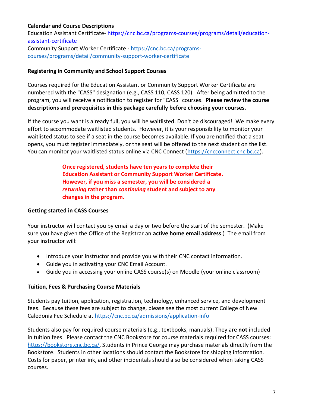#### <span id="page-6-0"></span>**Calendar and Course Descriptions**

Education Assistant Certificate- [https://cnc.bc.ca/programs-courses/programs/detail/education](https://cnc.bc.ca/programs-courses/programs/detail/education-assistant-certificate)[assistant-certificate](https://cnc.bc.ca/programs-courses/programs/detail/education-assistant-certificate) Community Support Worker Certificate - [https://cnc.bc.ca/programs](https://cnc.bc.ca/programs-courses/programs/detail/community-support-worker-certificate)[courses/programs/detail/community-support-worker-certificate](https://cnc.bc.ca/programs-courses/programs/detail/community-support-worker-certificate)

#### <span id="page-6-1"></span>**Registering in Community and School Support Courses**

Courses required for the Education Assistant or Community Support Worker Certificate are numbered with the "CASS" designation (e.g., CASS 110, CASS 120). After being admitted to the program, you will receive a notification to register for "CASS" courses. **Please review the course descriptions and prerequisites in this package carefully before choosing your courses.**

If the course you want is already full, you will be waitlisted. Don't be discouraged! We make every effort to accommodate waitlisted students. However, it is your responsibility to monitor your waitlisted status to see if a seat in the course becomes available. If you are notified that a seat opens, you must register immediately, or the seat will be offered to the next student on the list. You can monitor your waitlisted status online via CNC Connect [\(https://cncconnect.cnc.bc.ca\)](https://cncconnect.cnc.bc.ca/).

> **Once registered, students have ten years to complete their Education Assistant or Community Support Worker Certificate. However, if you miss a semester, you will be considered a**  *returning* **rather than** *continuing* **student and subject to any changes in the program.**

#### <span id="page-6-2"></span>**Getting started in CASS Courses**

Your instructor will contact you by email a day or two before the start of the semester. (Make sure you have given the Office of the Registrar an **active home email address**.) The email from your instructor will:

- Introduce your instructor and provide you with their CNC contact information.
- Guide you in activating your CNC Email Account.
- Guide you in accessing your online CASS course(s) on Moodle (your online classroom)

#### <span id="page-6-3"></span>**Tuition, Fees & Purchasing Course Materials**

Students pay tuition, application, registration, technology, enhanced service, and development fees. Because these fees are subject to change, please see the most current College of New Caledonia Fee Schedule at <https://cnc.bc.ca/admissions/application-info>

Students also pay for required course materials (e.g., textbooks, manuals). They are **not** included in tuition fees. Please contact the CNC Bookstore for course materials required for CASS courses: <https://bookstore.cnc.bc.ca/>. Students in Prince George may purchase materials directly from the Bookstore. Students in other locations should contact the Bookstore for shipping information. Costs for paper, printer ink, and other incidentals should also be considered when taking CASS courses.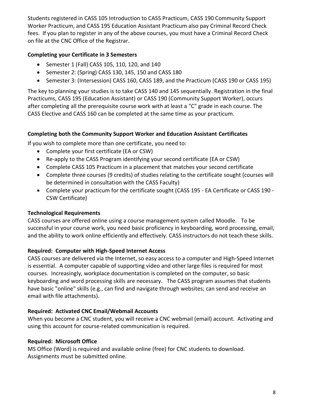Students registered in CASS 105 Introduction to CASS Practicum, CASS 190 Community Support Worker Practicum, and CASS 195 Education Assistant Practicum also pay Criminal Record Check fees. If you plan to register in any of the above courses, you must have a Criminal Record Check on file at the CNC Office of the Registrar.

#### <span id="page-7-0"></span>**Completing your Certificate in 3 Semesters**

- Semester 1 (Fall) CASS 105, 110, 120, and 140
- Semester 2: (Spring) CASS 130, 145, 150 and CASS 180
- Semester 3: (Intersession) CASS 160, CASS 189, and the Practicum (CASS 190 or CASS 195)

The key to planning your studies is to take CASS 140 and 145 sequentially. Registration in the final Practicums, CASS 195 (Education Assistant) or CASS 190 (Community Support Worker), occurs after completing all the prerequisite course work with at least a "C" grade in each course. The CASS Elective and CASS 160 can be completed at the same time as your practicum.

#### <span id="page-7-1"></span>**Completing both the Community Support Worker and Education Assistant Certificates**

If you wish to complete more than one certificate, you need to:

- Complete your first certificate (EA or CSW)
- Re-apply to the CASS Program identifying your second certificate (EA or CSW)
- Complete CASS 105 Practicum in a placement that matches your second certificate
- Complete three courses (9 credits) of studies relating to the certificate sought (courses will be determined in consultation with the CASS Faculty)
- Complete your practicum for the certificate sought (CASS 195 EA Certificate or CASS 190 CSW Certificate)

#### <span id="page-7-2"></span>**Technological Requirements**

CASS courses are offered online using a course management system called Moodle. To be successful in your course work, you need basic proficiency in keyboarding, word processing, email, and the ability to work online efficiently and effectively. CASS instructors do not teach these skills.

#### **Required: Computer with High-Speed Internet Access**

CASS courses are delivered via the Internet, so easy access to a computer and High-Speed Internet is essential. A computer capable of supporting video and other large files is required for most courses. Increasingly, workplace documentation is completed on the computer, so basic keyboarding and word processing skills are necessary. The CASS program assumes that students have basic "online" skills (e.g., can find and navigate through websites; can send and receive an email with file attachments).

#### **Required: Activated CNC Email/Webmail Accounts**

When you become a CNC student, you will receive a CNC webmail (email) account. Activating and using this account for course-related communication is required.

#### **Required: Microsoft Office**

MS Office (Word) is required and available online (free) for CNC students to download. Assignments must be submitted online.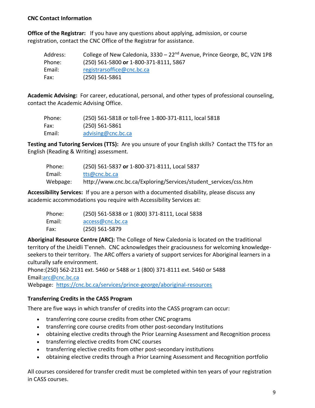#### <span id="page-8-0"></span>**CNC Contact Information**

**Office of the Registrar:** If you have any questions about applying, admission, or course registration, contact the CNC Office of the Registrar for assistance.

| Address: | College of New Caledonia, 3330 – 22 <sup>nd</sup> Avenue, Prince George, BC, V2N 1P8 |
|----------|--------------------------------------------------------------------------------------|
| Phone:   | (250) 561-5800 or 1-800-371-8111, 5867                                               |
| Email:   | registrarsoffice@cnc.bc.ca                                                           |
| Fax:     | $(250) 561 - 5861$                                                                   |

**Academic Advising:** For career, educational, personal, and other types of professional counseling, contact the Academic Advising Office.

| Phone: | (250) 561-5818 or toll-free 1-800-371-8111, local 5818 |
|--------|--------------------------------------------------------|
| Fax:   | (250) 561-5861                                         |
| Email: | advising@cnc.bc.ca                                     |

**Testing and Tutoring Services (TTS):** Are you unsure of your English skills? Contact the TTS for an English (Reading & Writing) assessment.

| Phone:   | (250) 561-5837 or 1-800-371-8111, Local 5837                     |
|----------|------------------------------------------------------------------|
| Email:   | tts@cnc.bc.ca                                                    |
| Webpage: | http://www.cnc.bc.ca/Exploring/Services/student services/css.htm |

**Accessibility Services:** If you are a person with a documented disability, please discuss any academic accommodations you require with Accessibility Services at:

| Phone: | (250) 561-5838 or 1 (800) 371-8111, Local 5838 |
|--------|------------------------------------------------|
| Email: | access@cnc.bc.ca                               |
| Fax:   | $(250) 561 - 5879$                             |

**Aboriginal Resource Centre (ARC):** The College of New Caledonia is located on the traditional territory of the Lheidli T'enneh. CNC acknowledges their graciousness for welcoming knowledgeseekers to their territory. The ARC offers a variety of support services for Aboriginal learners in a culturally safe environment.

Phone:(250) 562-2131 ext. 5460 or 5488 or 1 (800) 371-8111 ext. 5460 or 5488 Email[:arc@cnc.bc.ca](mailto:arc@cnc.bc.ca) 

Webpage: <https://cnc.bc.ca/services/prince-george/aboriginal-resources>

#### <span id="page-8-1"></span>**Transferring Credits in the CASS Program**

There are five ways in which transfer of credits into the CASS program can occur:

- transferring core course credits from other CNC programs
- transferring core course credits from other post-secondary Institutions
- obtaining elective credits through the Prior Learning Assessment and Recognition process
- transferring elective credits from CNC courses
- transferring elective credits from other post-secondary institutions
- obtaining elective credits through a Prior Learning Assessment and Recognition portfolio

All courses considered for transfer credit must be completed within ten years of your registration in CASS courses.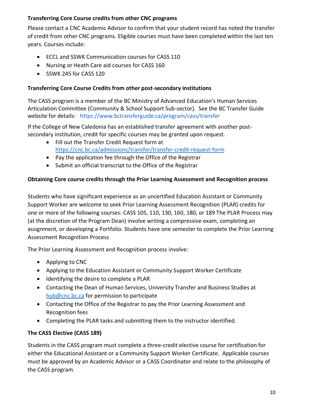#### <span id="page-9-0"></span>**Transferring Core Course credits from other CNC programs**

Please contact a CNC Academic Advisor to confirm that your student record has noted the transfer of credit from other CNC programs. Eligible courses must have been completed within the last ten years. Courses include:

- ECCL and SSWK Communication courses for CASS 110
- Nursing or Heath Care aid courses for CASS 160
- SSWK 245 for CASS 120

#### <span id="page-9-1"></span>**Transferring Core Course Credits from other post-secondary institutions**

The CASS program is a member of the BC Ministry of Advanced Education's Human Services Articulation Committee (Community & School Support Sub-sector). See the BC Transfer Guide website for details: <https://www.bctransferguide.ca/program/cass/transfer>

If the College of New Caledonia has an established transfer agreement with another postsecondary institution, credit for specific courses may be granted upon request.

- Fill out the Transfer Credit Request form at <https://cnc.bc.ca/admissions/transfer/transfer-credit-request-form>
- Pay the application fee through the Office of the Registrar
- Submit an official transcript to the Office of the Registrar

#### <span id="page-9-2"></span>**Obtaining Core course credits through the Prior Learning Assessment and Recognition process**

Students who have significant experience as an uncertified Education Assistant or Community Support Worker are welcome to seek Prior Learning Assessment Recognition (PLAR) credits for one or more of the following courses: CASS 105, 110, 130, 160, 180, or 189 The PLAR Process may (at the discretion of the Program Dean) involve writing a compressive exam, completing an assignment, or developing a Portfolio. Students have one semester to complete the Prior Learning Assessment Recognition Process

The Prior Learning Assessment and Recognition process involve:

- Applying to CNC
- Applying to the Education Assistant or Community Support Worker Certificate
- Identifying the desire to complete a PLAR
- Contacting the Dean of Human Services, University Transfer and Business Studies at [hub@cnc.bc.ca](mailto:hub@cnc.bc.ca) for permission to participate
- Contacting the Office of the Registrar to pay the Prior Learning Assessment and Recognition fees
- Completing the PLAR tasks and submitting them to the instructor identified.

#### **The CASS Elective (CASS 189)**

Students in the CASS program must complete a three-credit elective course for certification for either the Educational Assistant or a Community Support Worker Certificate. Applicable courses must be approved by an Academic Advisor or a CASS Coordinator and relate to the philosophy of the CASS program.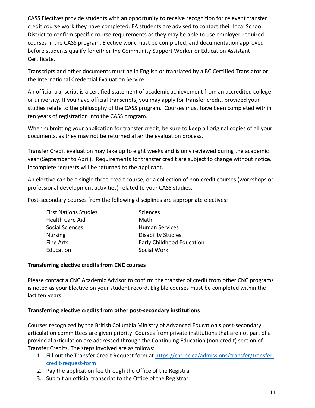CASS Electives provide students with an opportunity to receive recognition for relevant transfer credit course work they have completed. EA students are advised to contact their local School District to confirm specific course requirements as they may be able to use employer-required courses in the CASS program. Elective work must be completed, and documentation approved before students qualify for either the Community Support Worker or Education Assistant Certificate.

Transcripts and other documents must be in English or translated by a BC Certified Translator or the International Credential Evaluation Service.

An official transcript is a certified statement of academic achievement from an accredited college or university. If you have official transcripts, you may apply for transfer credit, provided your studies relate to the philosophy of the CASS program. Courses must have been completed within ten years of registration into the CASS program.

When submitting your application for transfer credit, be sure to keep all original copies of all your documents, as they may not be returned after the evaluation process.

Transfer Credit evaluation may take up to eight weeks and is only reviewed during the academic year (September to April). Requirements for transfer credit are subject to change without notice. Incomplete requests will be returned to the applicant.

An elective can be a single three-credit course, or a collection of non-credit courses (workshops or professional development activities) related to your CASS studies.

Post-secondary courses from the following disciplines are appropriate electives:

| <b>First Nations Studies</b> | Sciences                         |
|------------------------------|----------------------------------|
| <b>Health Care Aid</b>       | Math                             |
| Social Sciences              | <b>Human Services</b>            |
| <b>Nursing</b>               | <b>Disability Studies</b>        |
| Fine Arts                    | <b>Early Childhood Education</b> |
| Education                    | Social Work                      |

#### **Transferring elective credits from CNC courses**

Please contact a CNC Academic Advisor to confirm the transfer of credit from other CNC programs is noted as your Elective on your student record. Eligible courses must be completed within the last ten years.

#### <span id="page-10-0"></span>**Transferring elective credits from other post-secondary institutions**

Courses recognized by the British Columbia Ministry of Advanced Education's post-secondary articulation committees are given priority. Courses from private institutions that are not part of a provincial articulation are addressed through the Continuing Education (non-credit) section of Transfer Credits. The steps involved are as follows:

- 1. Fill out the Transfer Credit Request form at [https://cnc.bc.ca/admissions/transfer/transfer](https://cnc.bc.ca/admissions/transfer/transfer-credit-request-form)[credit-request-form](https://cnc.bc.ca/admissions/transfer/transfer-credit-request-form)
- 2. Pay the application fee through the Office of the Registrar
- 3. Submit an official transcript to the Office of the Registrar